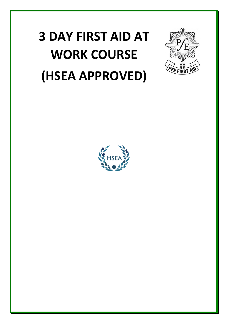## **3 DAY FIRST AID AT WORK COURSE (HSEA APPROVED)**



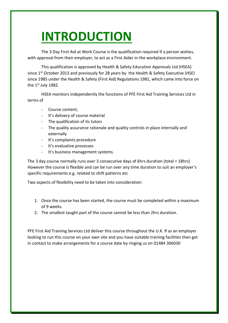## **INTRODUCTION**

The 3 Day First Aid at Work Course is the qualification required if a person wishes, with approval from their employer, to act as a First Aider in the workplace environment.

This qualification is approved by Health & Safety Education Approvals Ltd (HSEA) since 1<sup>st</sup> October 2013 and previously for 28 years by the Health & Safety Executive (HSE) since 1985 under the Health & Safety (First Aid) Regulations 1981, which came into force on the  $1<sup>st</sup>$  July 1982.

HSEA monitors independently the functions of PFE First Aid Training Services Ltd in terms of

- Course content,
- It's delivery of course material
- The qualification of its tutors
- The quality assurance rationale and quality controls in place internally and externally
- It's complaints procedure
- It's evaluative processes
- It's business management systems.

The 3 day course normally runs over 3 consecutive days of 6hrs duration (total = 18hrs) However the course is flexible and can be run over any time duration to suit an employer's specific requirements e.g. related to shift patterns etc

Two aspects of flexibility need to be taken into consideration:

- 1. Once the course has been started, the course must be completed within a maximum of 9 weeks.
- 2. The smallest taught part of the course cannot be less than 2hrs duration.

PFE First Aid Training Services Ltd deliver this course throughout the U.K. If as an employer looking to run this course on your own site and you have suitable training facilities then get in contact to make arrangements for a course date by ringing us on 01484 306030